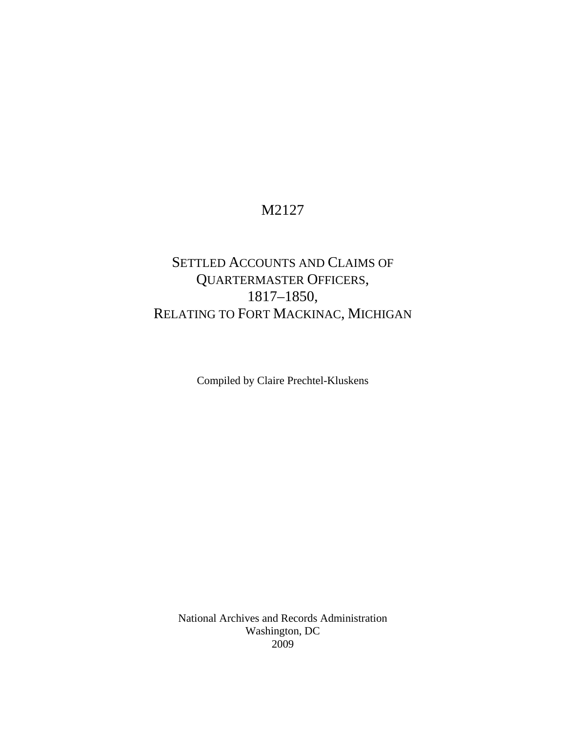### M2127

## SETTLED ACCOUNTS AND CLAIMS OF QUARTERMASTER OFFICERS, 1817–1850, RELATING TO FORT MACKINAC, MICHIGAN

Compiled by Claire Prechtel-Kluskens

National Archives and Records Administration Washington, DC 2009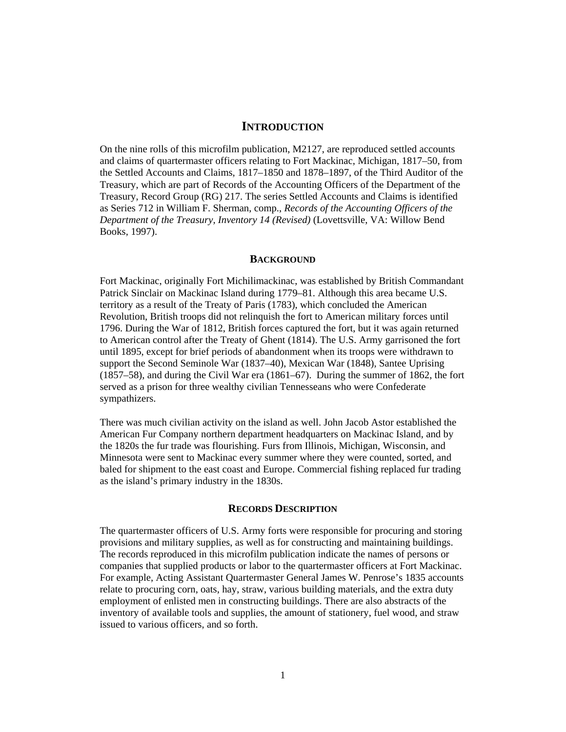### **INTRODUCTION**

On the nine rolls of this microfilm publication, M2127, are reproduced settled accounts and claims of quartermaster officers relating to Fort Mackinac, Michigan, 1817–50, from the Settled Accounts and Claims, 1817–1850 and 1878–1897, of the Third Auditor of the Treasury, which are part of Records of the Accounting Officers of the Department of the Treasury, Record Group (RG) 217. The series Settled Accounts and Claims is identified as Series 712 in William F. Sherman, comp., *Records of the Accounting Officers of the Department of the Treasury, Inventory 14 (Revised)* (Lovettsville, VA: Willow Bend Books, 1997).

#### **BACKGROUND**

Fort Mackinac, originally Fort Michilimackinac, was established by British Commandant Patrick Sinclair on Mackinac Island during 1779–81. Although this area became U.S. territory as a result of the Treaty of Paris (1783), which concluded the American Revolution, British troops did not relinquish the fort to American military forces until 1796. During the War of 1812, British forces captured the fort, but it was again returned to American control after the Treaty of Ghent (1814). The U.S. Army garrisoned the fort until 1895, except for brief periods of abandonment when its troops were withdrawn to support the Second Seminole War (1837–40), Mexican War (1848), Santee Uprising (1857–58), and during the Civil War era (1861–67). During the summer of 1862, the fort served as a prison for three wealthy civilian Tennesseans who were Confederate sympathizers.

There was much civilian activity on the island as well. John Jacob Astor established the American Fur Company northern department headquarters on Mackinac Island, and by the 1820s the fur trade was flourishing. Furs from Illinois, Michigan, Wisconsin, and Minnesota were sent to Mackinac every summer where they were counted, sorted, and baled for shipment to the east coast and Europe. Commercial fishing replaced fur trading as the island's primary industry in the 1830s.

#### **RECORDS DESCRIPTION**

The quartermaster officers of U.S. Army forts were responsible for procuring and storing provisions and military supplies, as well as for constructing and maintaining buildings. The records reproduced in this microfilm publication indicate the names of persons or companies that supplied products or labor to the quartermaster officers at Fort Mackinac. For example, Acting Assistant Quartermaster General James W. Penrose's 1835 accounts relate to procuring corn, oats, hay, straw, various building materials, and the extra duty employment of enlisted men in constructing buildings. There are also abstracts of the inventory of available tools and supplies, the amount of stationery, fuel wood, and straw issued to various officers, and so forth.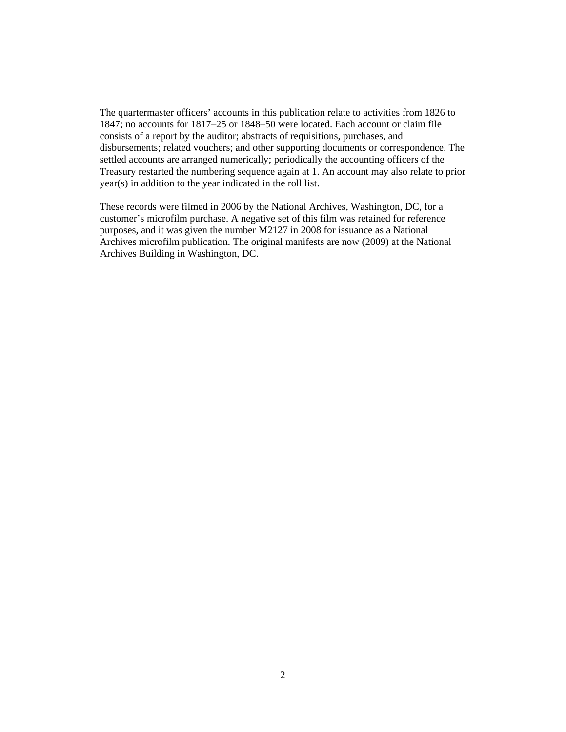The quartermaster officers' accounts in this publication relate to activities from 1826 to 1847; no accounts for 1817–25 or 1848–50 were located. Each account or claim file consists of a report by the auditor; abstracts of requisitions, purchases, and disbursements; related vouchers; and other supporting documents or correspondence. The settled accounts are arranged numerically; periodically the accounting officers of the Treasury restarted the numbering sequence again at 1. An account may also relate to prior year(s) in addition to the year indicated in the roll list.

These records were filmed in 2006 by the National Archives, Washington, DC, for a customer's microfilm purchase. A negative set of this film was retained for reference purposes, and it was given the number M2127 in 2008 for issuance as a National Archives microfilm publication. The original manifests are now (2009) at the National Archives Building in Washington, DC.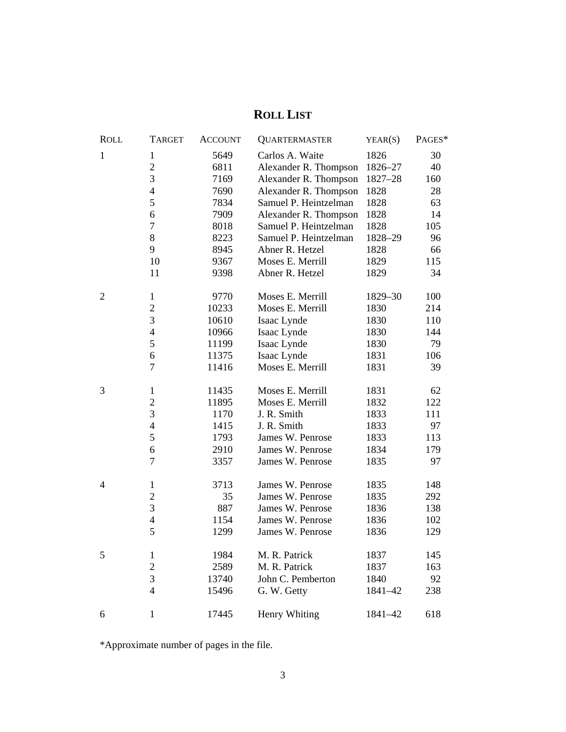# **ROLL LIST**

| <b>ROLL</b>    | <b>TARGET</b>  | <b>ACCOUNT</b> | <b>QUARTERMASTER</b>  | YEAR(S) | PAGES* |
|----------------|----------------|----------------|-----------------------|---------|--------|
| 1              | $\mathbf{1}$   | 5649           | Carlos A. Waite       | 1826    | 30     |
|                | $\overline{c}$ | 6811           | Alexander R. Thompson | 1826-27 | 40     |
|                | 3              | 7169           | Alexander R. Thompson | 1827-28 | 160    |
|                | $\overline{4}$ | 7690           | Alexander R. Thompson | 1828    | 28     |
|                | 5              | 7834           | Samuel P. Heintzelman | 1828    | 63     |
|                | 6              | 7909           | Alexander R. Thompson | 1828    | 14     |
|                | $\overline{7}$ | 8018           | Samuel P. Heintzelman | 1828    | 105    |
|                | $\,8$          | 8223           | Samuel P. Heintzelman | 1828-29 | 96     |
|                | 9              | 8945           | Abner R. Hetzel       | 1828    | 66     |
|                | 10             | 9367           | Moses E. Merrill      | 1829    | 115    |
|                | 11             | 9398           | Abner R. Hetzel       | 1829    | 34     |
| $\overline{2}$ | $\mathbf{1}$   | 9770           | Moses E. Merrill      | 1829-30 | 100    |
|                | $\mathbf{2}$   | 10233          | Moses E. Merrill      | 1830    | 214    |
|                | $\mathfrak{Z}$ | 10610          | Isaac Lynde           | 1830    | 110    |
|                | $\overline{4}$ | 10966          | Isaac Lynde           | 1830    | 144    |
|                | 5              | 11199          | Isaac Lynde           | 1830    | 79     |
|                | 6              | 11375          | Isaac Lynde           | 1831    | 106    |
|                | $\overline{7}$ | 11416          | Moses E. Merrill      | 1831    | 39     |
| 3              | $\mathbf{1}$   | 11435          | Moses E. Merrill      | 1831    | 62     |
|                | $\overline{c}$ | 11895          | Moses E. Merrill      | 1832    | 122    |
|                | $\mathfrak{Z}$ | 1170           | J. R. Smith           | 1833    | 111    |
|                | $\overline{4}$ | 1415           | J. R. Smith           | 1833    | 97     |
|                | 5              | 1793           | James W. Penrose      | 1833    | 113    |
|                | 6              | 2910           | James W. Penrose      | 1834    | 179    |
|                | $\overline{7}$ | 3357           | James W. Penrose      | 1835    | 97     |
| 4              | $\mathbf{1}$   | 3713           | James W. Penrose      | 1835    | 148    |
|                | $\overline{2}$ | 35             | James W. Penrose      | 1835    | 292    |
|                | $\mathfrak{Z}$ | 887            | James W. Penrose      | 1836    | 138    |
|                | $\overline{4}$ | 1154           | James W. Penrose      | 1836    | 102    |
|                | 5              | 1299           | James W. Penrose      | 1836    | 129    |
| 5              | $\mathbf{1}$   | 1984           | M. R. Patrick         | 1837    | 145    |
|                | $\overline{c}$ | 2589           | M. R. Patrick         | 1837    | 163    |
|                | 3              | 13740          | John C. Pemberton     | 1840    | 92     |
|                | $\overline{4}$ | 15496          | G. W. Getty           | 1841-42 | 238    |
| 6              | $\mathbf{1}$   | 17445          | Henry Whiting         | 1841-42 | 618    |

\*Approximate number of pages in the file.